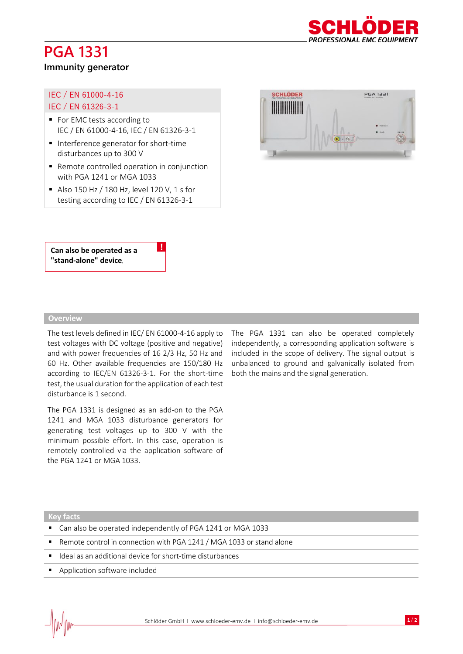# **PGA 1331**



#### **Immunity generator**

#### IEC / EN 61000-4-16 IEC / EN 61326-3-1

- For EMC tests according to IEC / EN 61000-4-16, IEC / EN 61326-3-1
- Interference generator for short-time disturbances up to 300 V
- Remote controlled operation in conjunction with PGA 1241 or MGA 1033

!

■ Also 150 Hz / 180 Hz, level 120 V, 1 s for testing according to IEC / EN 61326-3-1



**Can also be operated as a "stand-alone" device**.

#### **Overview**

The test levels defined in IEC/ EN 61000-4-16 apply to test voltages with DC voltage (positive and negative) and with power frequencies of 16 2/3 Hz, 50 Hz and 60 Hz. Other available frequencies are 150/180 Hz according to IEC/EN 61326-3-1. For the short-time test, the usual duration for the application of each test disturbance is 1 second.

The PGA 1331 is designed as an add-on to the PGA 1241 and MGA 1033 disturbance generators for generating test voltages up to 300 V with the minimum possible effort. In this case, operation is remotely controlled via the application software of the PGA 1241 or MGA 1033.

The PGA 1331 can also be operated completely independently, a corresponding application software is included in the scope of delivery. The signal output is unbalanced to ground and galvanically isolated from both the mains and the signal generation.

#### **Key facts**

- Can also be operated independently of PGA 1241 or MGA 1033
- Remote control in connection with PGA 1241 / MGA 1033 or stand alone
- Ideal as an additional device for short-time disturbances
- Application software included